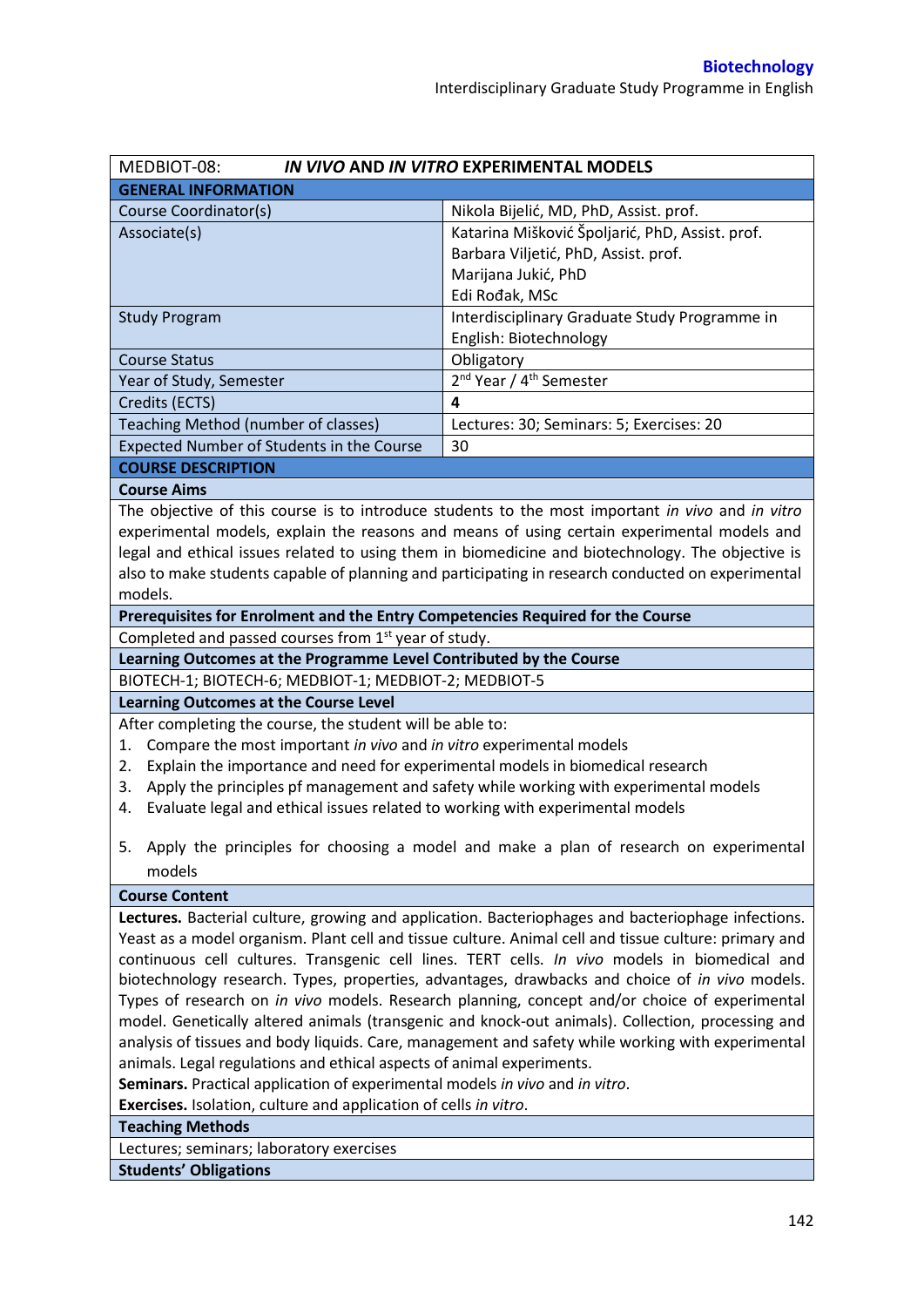| MEDBIOT-08:<br>IN VIVO AND IN VITRO EXPERIMENTAL MODELS                                           |                                                                                                       |  |  |  |
|---------------------------------------------------------------------------------------------------|-------------------------------------------------------------------------------------------------------|--|--|--|
| <b>GENERAL INFORMATION</b>                                                                        |                                                                                                       |  |  |  |
| Course Coordinator(s)                                                                             | Nikola Bijelić, MD, PhD, Assist. prof.                                                                |  |  |  |
| Associate(s)                                                                                      | Katarina Mišković Špoljarić, PhD, Assist. prof.                                                       |  |  |  |
|                                                                                                   | Barbara Viljetić, PhD, Assist. prof.                                                                  |  |  |  |
|                                                                                                   | Marijana Jukić, PhD                                                                                   |  |  |  |
|                                                                                                   | Edi Rođak, MSc                                                                                        |  |  |  |
| <b>Study Program</b>                                                                              | Interdisciplinary Graduate Study Programme in                                                         |  |  |  |
|                                                                                                   | English: Biotechnology                                                                                |  |  |  |
| <b>Course Status</b>                                                                              | Obligatory                                                                                            |  |  |  |
| Year of Study, Semester                                                                           | 2 <sup>nd</sup> Year / 4 <sup>th</sup> Semester                                                       |  |  |  |
| Credits (ECTS)                                                                                    | 4                                                                                                     |  |  |  |
| Teaching Method (number of classes)                                                               | Lectures: 30; Seminars: 5; Exercises: 20                                                              |  |  |  |
| Expected Number of Students in the Course                                                         | 30                                                                                                    |  |  |  |
| <b>COURSE DESCRIPTION</b>                                                                         |                                                                                                       |  |  |  |
| <b>Course Aims</b>                                                                                |                                                                                                       |  |  |  |
|                                                                                                   | The objective of this course is to introduce students to the most important in vivo and in vitro      |  |  |  |
|                                                                                                   | experimental models, explain the reasons and means of using certain experimental models and           |  |  |  |
|                                                                                                   | legal and ethical issues related to using them in biomedicine and biotechnology. The objective is     |  |  |  |
|                                                                                                   | also to make students capable of planning and participating in research conducted on experimental     |  |  |  |
| models.                                                                                           |                                                                                                       |  |  |  |
| Prerequisites for Enrolment and the Entry Competencies Required for the Course                    |                                                                                                       |  |  |  |
| Completed and passed courses from 1 <sup>st</sup> year of study.                                  |                                                                                                       |  |  |  |
| Learning Outcomes at the Programme Level Contributed by the Course                                |                                                                                                       |  |  |  |
| BIOTECH-1; BIOTECH-6; MEDBIOT-1; MEDBIOT-2; MEDBIOT-5                                             |                                                                                                       |  |  |  |
| <b>Learning Outcomes at the Course Level</b>                                                      |                                                                                                       |  |  |  |
| After completing the course, the student will be able to:                                         |                                                                                                       |  |  |  |
| Compare the most important in vivo and in vitro experimental models<br>1.                         |                                                                                                       |  |  |  |
| Explain the importance and need for experimental models in biomedical research<br>2.              |                                                                                                       |  |  |  |
| 3.                                                                                                | Apply the principles pf management and safety while working with experimental models                  |  |  |  |
| Evaluate legal and ethical issues related to working with experimental models<br>4.               |                                                                                                       |  |  |  |
|                                                                                                   |                                                                                                       |  |  |  |
|                                                                                                   | 5. Apply the principles for choosing a model and make a plan of research on experimental              |  |  |  |
| models                                                                                            |                                                                                                       |  |  |  |
| <b>Course Content</b>                                                                             |                                                                                                       |  |  |  |
|                                                                                                   | Lectures. Bacterial culture, growing and application. Bacteriophages and bacteriophage infections.    |  |  |  |
|                                                                                                   | Yeast as a model organism. Plant cell and tissue culture. Animal cell and tissue culture: primary and |  |  |  |
|                                                                                                   | continuous cell cultures. Transgenic cell lines. TERT cells. In vivo models in biomedical and         |  |  |  |
| biotechnology research. Types, properties, advantages, drawbacks and choice of in vivo models.    |                                                                                                       |  |  |  |
| Types of research on in vivo models. Research planning, concept and/or choice of experimental     |                                                                                                       |  |  |  |
| model. Genetically altered animals (transgenic and knock-out animals). Collection, processing and |                                                                                                       |  |  |  |
| analysis of tissues and body liquids. Care, management and safety while working with experimental |                                                                                                       |  |  |  |
| animals. Legal regulations and ethical aspects of animal experiments.                             |                                                                                                       |  |  |  |
| Seminars. Practical application of experimental models in vivo and in vitro.                      |                                                                                                       |  |  |  |
| Exercises. Isolation, culture and application of cells in vitro.                                  |                                                                                                       |  |  |  |
| <b>Teaching Methods</b>                                                                           |                                                                                                       |  |  |  |
| Lectures; seminars; laboratory exercises                                                          |                                                                                                       |  |  |  |
| <b>Students' Obligations</b>                                                                      |                                                                                                       |  |  |  |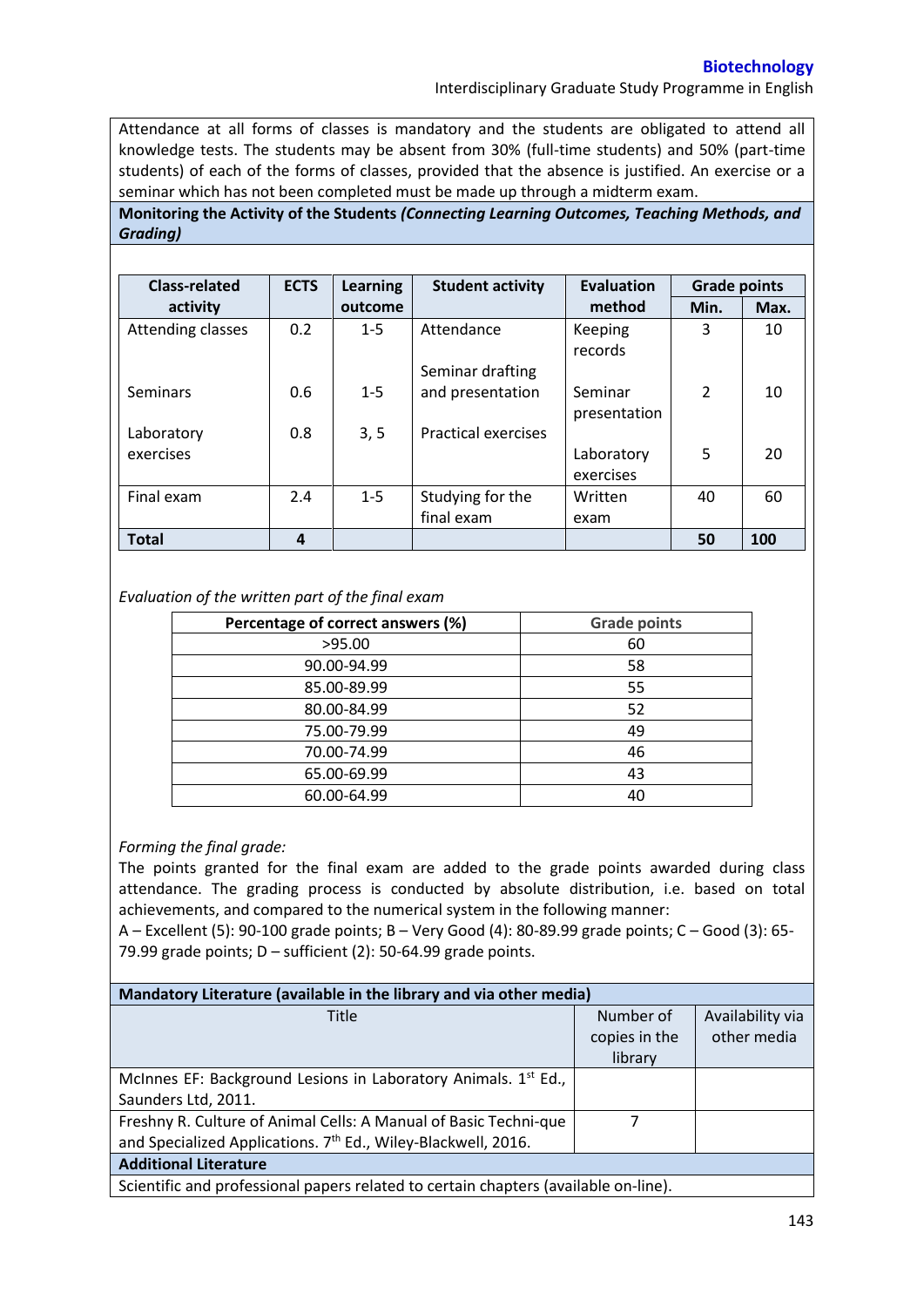## **Biotechnology**

Interdisciplinary Graduate Study Programme in English

Attendance at all forms of classes is mandatory and the students are obligated to attend all knowledge tests. The students may be absent from 30% (full-time students) and 50% (part-time students) of each of the forms of classes, provided that the absence is justified. An exercise or a seminar which has not been completed must be made up through a midterm exam.

**Monitoring the Activity of the Students** *(Connecting Learning Outcomes, Teaching Methods, and Grading)*

| <b>Class-related</b> | <b>ECTS</b> | <b>Learning</b> | <b>Student activity</b>    | Evaluation         | <b>Grade points</b> |      |
|----------------------|-------------|-----------------|----------------------------|--------------------|---------------------|------|
| activity             |             | outcome         |                            | method             | Min.                | Max. |
| Attending classes    | 0.2         | $1 - 5$         | Attendance                 | Keeping<br>records | 3                   | 10   |
|                      |             |                 | Seminar drafting           |                    |                     |      |
| Seminars             | 0.6         | $1 - 5$         | and presentation           | Seminar            | $\overline{2}$      | 10   |
|                      |             |                 |                            | presentation       |                     |      |
| Laboratory           | 0.8         | 3, 5            | <b>Practical exercises</b> |                    |                     |      |
| exercises            |             |                 |                            | Laboratory         | 5                   | 20   |
|                      |             |                 |                            | exercises          |                     |      |
| Final exam           | 2.4         | $1 - 5$         | Studying for the           | Written            | 40                  | 60   |
|                      |             |                 | final exam                 | exam               |                     |      |
| <b>Total</b>         | 4           |                 |                            |                    | 50                  | 100  |

## *Evaluation of the written part of the final exam*

| Percentage of correct answers (%) | <b>Grade points</b> |
|-----------------------------------|---------------------|
| >95.00                            | 60                  |
| 90.00-94.99                       | 58                  |
| 85.00-89.99                       | 55                  |
| 80.00-84.99                       | 52                  |
| 75.00-79.99                       | 49                  |
| 70.00-74.99                       | 46                  |
| 65.00-69.99                       | 43                  |
| 60.00-64.99                       | 40                  |

## *Forming the final grade:*

The points granted for the final exam are added to the grade points awarded during class attendance. The grading process is conducted by absolute distribution, i.e. based on total achievements, and compared to the numerical system in the following manner:

A – Excellent (5): 90-100 grade points; B – Very Good (4): 80-89.99 grade points; C – Good (3): 65- 79.99 grade points; D – sufficient (2): 50-64.99 grade points.

| Mandatory Literature (available in the library and via other media)                 |               |                  |  |  |  |  |
|-------------------------------------------------------------------------------------|---------------|------------------|--|--|--|--|
| Title                                                                               | Number of     | Availability via |  |  |  |  |
|                                                                                     | copies in the | other media      |  |  |  |  |
|                                                                                     | library       |                  |  |  |  |  |
| McInnes EF: Background Lesions in Laboratory Animals. 1 <sup>st</sup> Ed.,          |               |                  |  |  |  |  |
| Saunders Ltd, 2011.                                                                 |               |                  |  |  |  |  |
| Freshny R. Culture of Animal Cells: A Manual of Basic Techni-que                    |               |                  |  |  |  |  |
| and Specialized Applications. 7 <sup>th</sup> Ed., Wiley-Blackwell, 2016.           |               |                  |  |  |  |  |
| <b>Additional Literature</b>                                                        |               |                  |  |  |  |  |
| Scientific and professional papers related to certain chapters (available on-line). |               |                  |  |  |  |  |